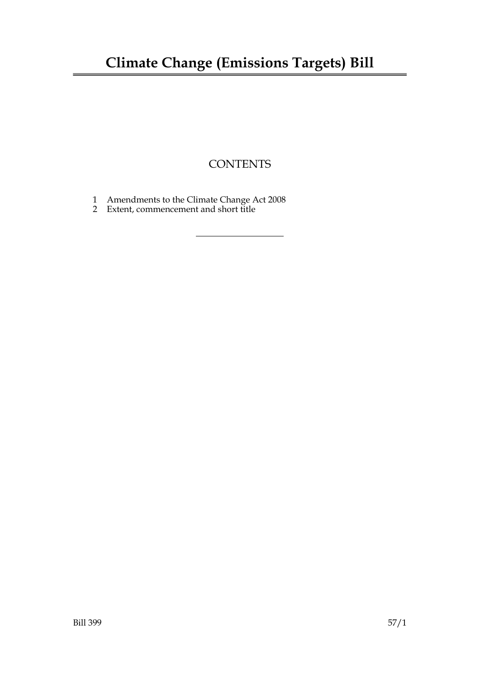### **Climate Change (Emissions Targets) Bill**

### **CONTENTS**

- 1 Amendments to the Climate Change Act 2008
- 2 Extent, commencement and short title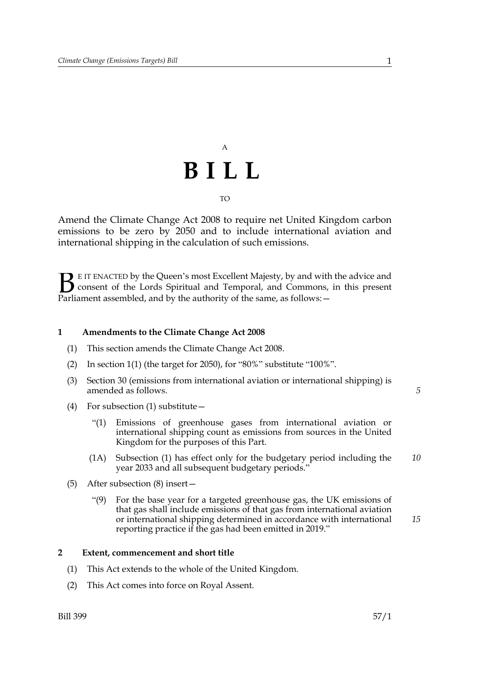# A **BILL** TO

Amend the Climate Change Act 2008 to require net United Kingdom carbon emissions to be zero by 2050 and to include international aviation and international shipping in the calculation of such emissions.

E IT ENACTED by the Queen's most Excellent Majesty, by and with the advice and consent of the Lords Spiritual and Temporal, and Commons, in this present Parliament assembled, and by the authority of the same, as follows: - $\mathbf{B}_{\text{e}$ 

### **1 Amendments to the Climate Change Act 2008**

- (1) This section amends the Climate Change Act 2008.
- (2) In section 1(1) (the target for 2050), for "80%" substitute "100%".
- (3) Section 30 (emissions from international aviation or international shipping) is amended as follows.
- (4) For subsection (1) substitute  $-$ 
	- "(1) Emissions of greenhouse gases from international aviation or international shipping count as emissions from sources in the United Kingdom for the purposes of this Part.
	- (1A) Subsection (1) has effect only for the budgetary period including the year 2033 and all subsequent budgetary periods." *10*
- (5) After subsection (8) insert—
	- "(9) For the base year for a targeted greenhouse gas, the UK emissions of that gas shall include emissions of that gas from international aviation or international shipping determined in accordance with international reporting practice if the gas had been emitted in 2019."

#### **2 Extent, commencement and short title**

- (1) This Act extends to the whole of the United Kingdom.
- (2) This Act comes into force on Royal Assent.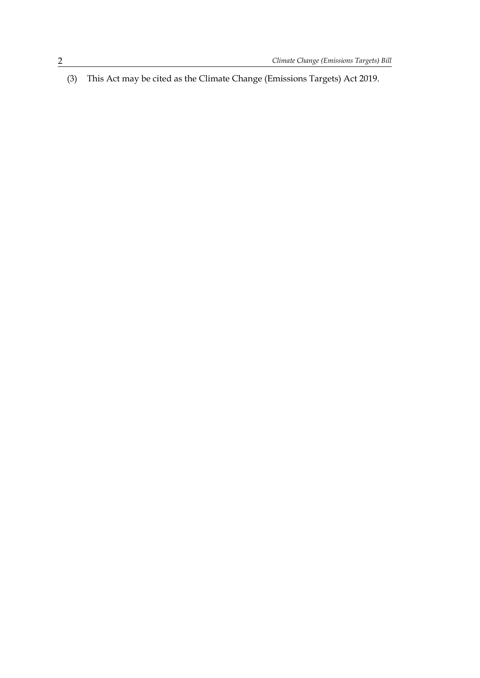(3) This Act may be cited as the Climate Change (Emissions Targets) Act 2019.